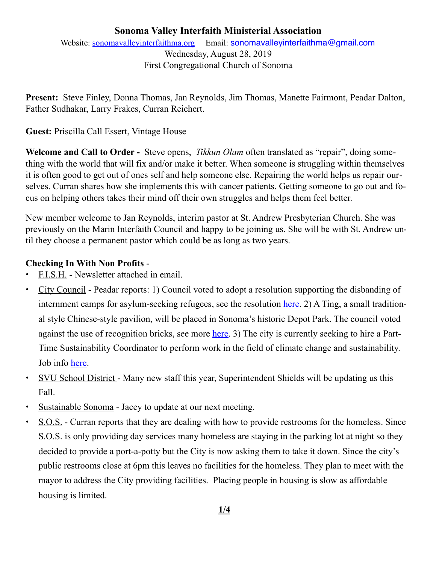## **Sonoma Valley Interfaith Ministerial Association**  Website: [sonomavalleyinterfaithma.org](http://sonomavalleyinterfaithma.org) Email: [sonomavalleyinterfaithma@gmail.com](mailto:sonomavalleyinterfaithma@gmail.com) Wednesday, August 28, 2019 First Congregational Church of Sonoma

**Present:** Steve Finley, Donna Thomas, Jan Reynolds, Jim Thomas, Manette Fairmont, Peadar Dalton, Father Sudhakar, Larry Frakes, Curran Reichert.

### **Guest:** Priscilla Call Essert, Vintage House

**Welcome and Call to Order -** Steve opens, *Tikkun Olam* often translated as "repair", doing something with the world that will fix and/or make it better. When someone is struggling within themselves it is often good to get out of ones self and help someone else. Repairing the world helps us repair ourselves. Curran shares how she implements this with cancer patients. Getting someone to go out and focus on helping others takes their mind off their own struggles and helps them feel better.

New member welcome to Jan Reynolds, interim pastor at St. Andrew Presbyterian Church. She was previously on the Marin Interfaith Council and happy to be joining us. She will be with St. Andrew until they choose a permanent pastor which could be as long as two years.

#### **Checking In With Non Profits** -

- **•** F.I.S.H. Newsletter attached in email.
- **•** City Council Peadar reports: 1) Council voted to adopt a resolution supporting the disbanding of internment camps for asylum-seeking refugees, see the resolution [here](https://sonomacity.civicweb.net/document/25180/Discussion,%2520Consideration,%2520and%2520Possible%2520Action%2520.pdf?handle=09FA52AC000D41818F725A9FB7B127E0). 2) A Ting, a small traditional style Chinese-style pavilion, will be placed in Sonoma's historic Depot Park. The council voted against the use of recognition bricks, see more [here.](https://sonomacity.civicweb.net/document/25221/Consideration,%2520Discussion%2520and%2520Direction%2520on%2520Appr.pdf?handle=447BB1686C314E0D896A051CB26D8B9D) 3) The city is currently seeking to hire a Part-Time Sustainability Coordinator to perform work in the field of climate change and sustainability. Job info [here.](https://www.sonomacity.org/job/sustainability-coordinator/)
- **•** SVU School District Many new staff this year, Superintendent Shields will be updating us this Fall.
- **•** Sustainable Sonoma Jacey to update at our next meeting.
- S.O.S. Curran reports that they are dealing with how to provide restrooms for the homeless. Since S.O.S. is only providing day services many homeless are staying in the parking lot at night so they decided to provide a port-a-potty but the City is now asking them to take it down. Since the city's public restrooms close at 6pm this leaves no facilities for the homeless. They plan to meet with the mayor to address the City providing facilities. Placing people in housing is slow as affordable housing is limited.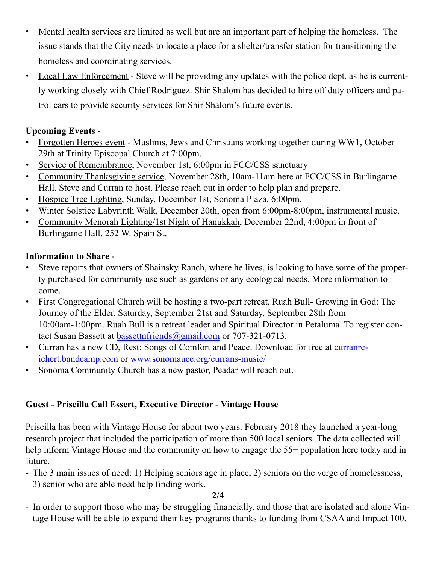- **•** Mental health services are limited as well but are an important part of helping the homeless. The issue stands that the City needs to locate a place for a shelter/transfer station for transitioning the homeless and coordinating services.
- **•** Local Law Enforcement Steve will be providing any updates with the police dept. as he is currently working closely with Chief Rodriguez. Shir Shalom has decided to hire off duty officers and patrol cars to provide security services for Shir Shalom's future events.

## **Upcoming Events -**

- Forgotten Heroes event Muslims, Jews and Christians working together during WW1, October 29th at Trinity Episcopal Church at 7:00pm.
- Service of Remembrance, November 1st, 6:00pm in FCC/CSS sanctuary
- Community Thanksgiving service, November 28th, 10am-11am here at FCC/CSS in Burlingame Hall. Steve and Curran to host. Please reach out in order to help plan and prepare.
- Hospice Tree Lighting, Sunday, December 1st, Sonoma Plaza, 6:00pm.
- Winter Solstice Labyrinth Walk, December 20th, open from 6:00pm-8:00pm, instrumental music.
- Community Menorah Lighting/1st Night of Hanukkah, December 22nd, 4:00pm in front of Burlingame Hall, 252 W. Spain St.

## **Information to Share** -

- Steve reports that owners of Shainsky Ranch, where he lives, is looking to have some of the property purchased for community use such as gardens or any ecological needs. More information to come.
- First Congregational Church will be hosting a two-part retreat, Ruah Bull- Growing in God: The Journey of the Elder, Saturday, September 21st and Saturday, September 28th from 10:00am-1:00pm. Ruah Bull is a retreat leader and Spiritual Director in Petaluma. To register contact Susan Bassett at [bassettnfriends@gmail.com](mailto:bassettnfriends@gmail.com) or 707-321-0713.
- Curran has a new CD, Rest: Songs of Comfort and Peace. Download for free at [curranre](http://curranreichert.bandcamp.com)[ichert.bandcamp.com](http://curranreichert.bandcamp.com) or [www.sonomaucc.org/currans-music/](http://www.sonomaucc.org/currans-music/)
- Sonoma Community Church has a new pastor, Peadar will reach out.

# **Guest - Priscilla Call Essert, Executive Director - Vintage House**

Priscilla has been with Vintage House for about two years. February 2018 they launched a year-long research project that included the participation of more than 500 local seniors. The data collected will help inform Vintage House and the community on how to engage the 55+ population here today and in future.

- The 3 main issues of need: 1) Helping seniors age in place, 2) seniors on the verge of homelessness, 3) senior who are able need help finding work.

**2/4** 

- In order to support those who may be struggling financially, and those that are isolated and alone Vintage House will be able to expand their key programs thanks to funding from CSAA and Impact 100.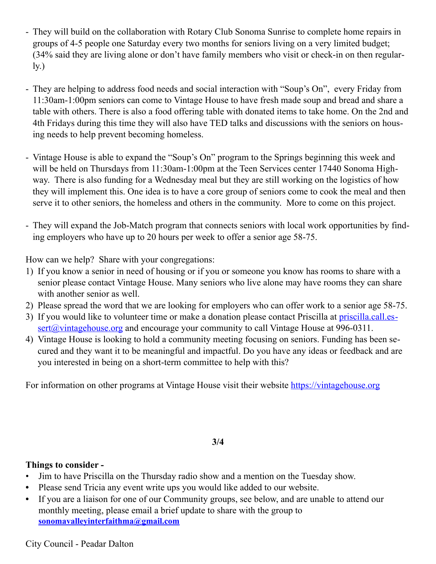- They will build on the collaboration with Rotary Club Sonoma Sunrise to complete home repairs in groups of 4-5 people one Saturday every two months for seniors living on a very limited budget; (34% said they are living alone or don't have family members who visit or check-in on then regular- $\mathbf{I}$ y.)
- They are helping to address food needs and social interaction with "Soup's On", every Friday from 11:30am-1:00pm seniors can come to Vintage House to have fresh made soup and bread and share a table with others. There is also a food offering table with donated items to take home. On the 2nd and 4th Fridays during this time they will also have TED talks and discussions with the seniors on housing needs to help prevent becoming homeless.
- Vintage House is able to expand the "Soup's On" program to the Springs beginning this week and will be held on Thursdays from 11:30am-1:00pm at the Teen Services center 17440 Sonoma Highway. There is also funding for a Wednesday meal but they are still working on the logistics of how they will implement this. One idea is to have a core group of seniors come to cook the meal and then serve it to other seniors, the homeless and others in the community. More to come on this project.
- They will expand the Job-Match program that connects seniors with local work opportunities by finding employers who have up to 20 hours per week to offer a senior age 58-75.

How can we help? Share with your congregations:

- 1) If you know a senior in need of housing or if you or someone you know has rooms to share with a senior please contact Vintage House. Many seniors who live alone may have rooms they can share with another senior as well.
- 2) Please spread the word that we are looking for employers who can offer work to a senior age 58-75.
- 3) If you would like to volunteer time or make a donation please contact Priscilla at **[priscilla.call.es](mailto:priscilla.call.essert@vintagehouse.org)**- $\frac{\text{sort}(a)}{\text{wintagehouse.org}}$  and encourage your community to call Vintage House at 996-0311.
- 4) Vintage House is looking to hold a community meeting focusing on seniors. Funding has been secured and they want it to be meaningful and impactful. Do you have any ideas or feedback and are you interested in being on a short-term committee to help with this?

For information on other programs at Vintage House visit their website <https://vintagehouse.org>

#### **3/4**

## **Things to consider -**

- Jim to have Priscilla on the Thursday radio show and a mention on the Tuesday show.
- **•** Please send Tricia any event write ups you would like added to our website.
- **•** If you are a liaison for one of our Community groups, see below, and are unable to attend our monthly meeting, please email a brief update to share with the group to **[sonomavalleyinterfaithma@gmail.com](mailto:sonomavalleyinterfaithma@gmail.com)**

City Council - Peadar Dalton